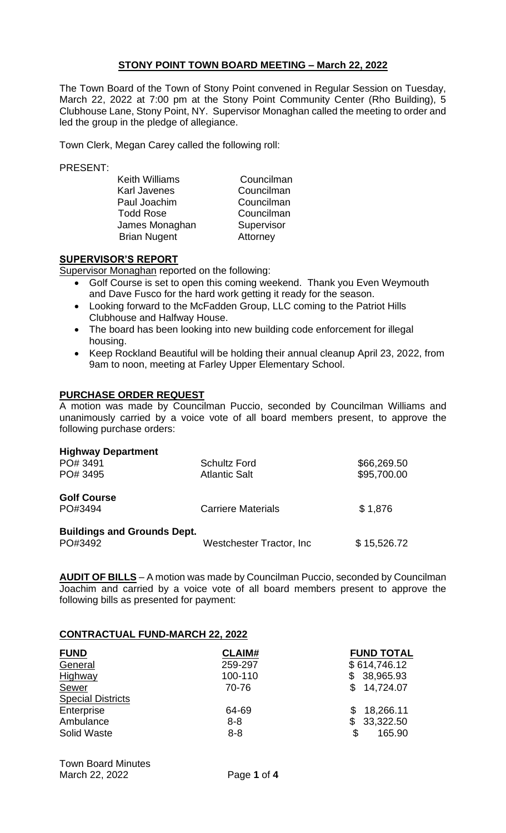# **STONY POINT TOWN BOARD MEETING – March 22, 2022**

The Town Board of the Town of Stony Point convened in Regular Session on Tuesday, March 22, 2022 at 7:00 pm at the Stony Point Community Center (Rho Building), 5 Clubhouse Lane, Stony Point, NY. Supervisor Monaghan called the meeting to order and led the group in the pledge of allegiance.

Town Clerk, Megan Carey called the following roll:

PRESENT:

Keith Williams<br>
Karl Javenes<br>
Karl Javenes<br>
Councilman Karl Javenes Paul Joachim Councilman Todd Rose Councilman James Monaghan Supervisor Brian Nugent **Attorney** 

# **SUPERVISOR'S REPORT**

Supervisor Monaghan reported on the following:

- Golf Course is set to open this coming weekend. Thank you Even Weymouth and Dave Fusco for the hard work getting it ready for the season.
- Looking forward to the McFadden Group, LLC coming to the Patriot Hills Clubhouse and Halfway House.
- The board has been looking into new building code enforcement for illegal housing.
- Keep Rockland Beautiful will be holding their annual cleanup April 23, 2022, from 9am to noon, meeting at Farley Upper Elementary School.

### **PURCHASE ORDER REQUEST**

A motion was made by Councilman Puccio, seconded by Councilman Williams and unanimously carried by a voice vote of all board members present, to approve the following purchase orders:

| <b>Highway Department</b>          |                           |             |
|------------------------------------|---------------------------|-------------|
| PO# 3491                           | <b>Schultz Ford</b>       | \$66,269.50 |
| PO# 3495                           | <b>Atlantic Salt</b>      | \$95,700.00 |
| <b>Golf Course</b>                 |                           |             |
| PO#3494                            | <b>Carriere Materials</b> | \$1,876     |
| <b>Buildings and Grounds Dept.</b> |                           |             |
| PO#3492                            | Westchester Tractor, Inc. | \$15,526.72 |

**AUDIT OF BILLS** – A motion was made by Councilman Puccio, seconded by Councilman Joachim and carried by a voice vote of all board members present to approve the following bills as presented for payment:

# **CONTRACTUAL FUND-MARCH 22, 2022**

| <b>FUND</b>              | <b>CLAIM#</b> | <b>FUND TOTAL</b> |
|--------------------------|---------------|-------------------|
| General                  | 259-297       | \$614,746.12      |
| Highway                  | 100-110       | \$ 38,965.93      |
| Sewer                    | 70-76         | \$14,724.07       |
| <b>Special Districts</b> |               |                   |
| Enterprise               | 64-69         | 18,266.11         |
| Ambulance                | $8 - 8$       | 33,322.50<br>\$   |
| Solid Waste              | $8 - 8$       | \$<br>165.90      |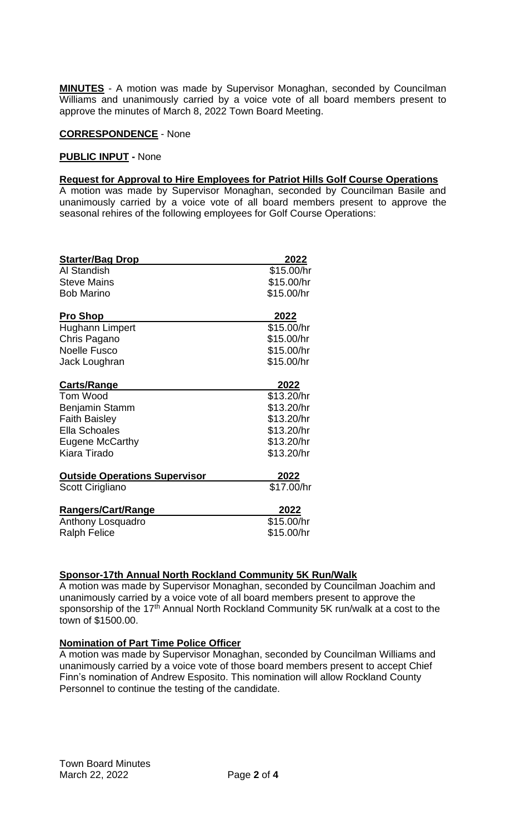**MINUTES** - A motion was made by Supervisor Monaghan, seconded by Councilman Williams and unanimously carried by a voice vote of all board members present to approve the minutes of March 8, 2022 Town Board Meeting.

### **CORRESPONDENCE** - None

#### **PUBLIC INPUT -** None

### **Request for Approval to Hire Employees for Patriot Hills Golf Course Operations**

A motion was made by Supervisor Monaghan, seconded by Councilman Basile and unanimously carried by a voice vote of all board members present to approve the seasonal rehires of the following employees for Golf Course Operations:

| <b>Starter/Bag Drop</b>              | 2022         |
|--------------------------------------|--------------|
| Al Standish                          | \$15.00/hr   |
| <b>Steve Mains</b>                   | \$15.00/hr   |
| <b>Bob Marino</b>                    | \$15.00/hr   |
| <b>Pro Shop</b>                      | 2022         |
| <b>Hughann Limpert</b>               | \$15.00/hr   |
| Chris Pagano                         | \$15.00/hr   |
| <b>Noelle Fusco</b>                  | \$15.00/hr   |
| Jack Loughran                        | \$15.00/hr   |
| Carts/Range                          | 2022         |
| Tom Wood                             | \$13.20/hr   |
| Benjamin Stamm                       | \$13.20/hr   |
| <b>Faith Baisley</b>                 | \$13.20/hr   |
| <b>Ella Schoales</b>                 | \$13.20/hr   |
| Eugene McCarthy                      | \$13.20/hr   |
| Kiara Tirado                         | \$13.20/hr   |
| <b>Outside Operations Supervisor</b> | <u> 2022</u> |
| Scott Cirigliano                     | \$17.00/hr   |
| <b>Rangers/Cart/Range</b>            | 2022         |
| Anthony Losquadro                    | \$15.00/hr   |
| <b>Ralph Felice</b>                  | \$15.00/hr   |

# **Sponsor-17th Annual North Rockland Community 5K Run/Walk**

A motion was made by Supervisor Monaghan, seconded by Councilman Joachim and unanimously carried by a voice vote of all board members present to approve the sponsorship of the 17<sup>th</sup> Annual North Rockland Community 5K run/walk at a cost to the town of \$1500.00.

# **Nomination of Part Time Police Officer**

A motion was made by Supervisor Monaghan, seconded by Councilman Williams and unanimously carried by a voice vote of those board members present to accept Chief Finn's nomination of Andrew Esposito. This nomination will allow Rockland County Personnel to continue the testing of the candidate.